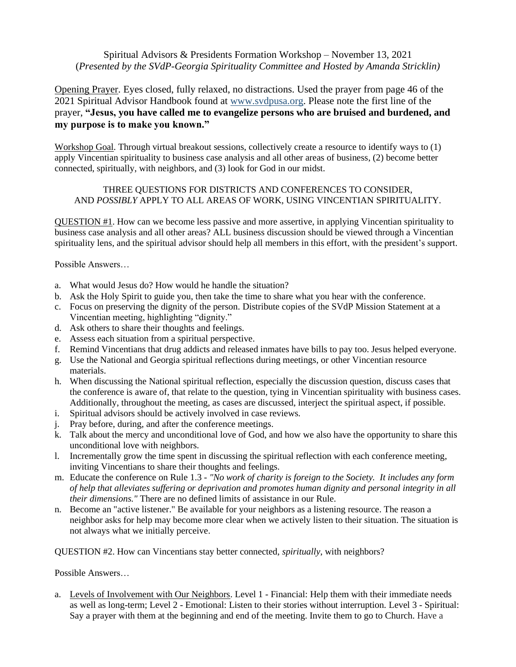## Spiritual Advisors & Presidents Formation Workshop – November 13, 2021 (*Presented by the SVdP-Georgia Spirituality Committee and Hosted by Amanda Stricklin)*

Opening Prayer. Eyes closed, fully relaxed, no distractions. Used the prayer from page 46 of the 2021 Spiritual Advisor Handbook found at [www.svdpusa.org.](http://www.svdpusa.org/) Please note the first line of the prayer, **"Jesus, you have called me to evangelize persons who are bruised and burdened, and my purpose is to make you known."** 

Workshop Goal. Through virtual breakout sessions, collectively create a resource to identify ways to (1) apply Vincentian spirituality to business case analysis and all other areas of business, (2) become better connected, spiritually, with neighbors, and (3) look for God in our midst.

#### THREE QUESTIONS FOR DISTRICTS AND CONFERENCES TO CONSIDER, AND *POSSIBLY* APPLY TO ALL AREAS OF WORK, USING VINCENTIAN SPIRITUALITY.

QUESTION #1. How can we become less passive and more assertive, in applying Vincentian spirituality to business case analysis and all other areas? ALL business discussion should be viewed through a Vincentian spirituality lens, and the spiritual advisor should help all members in this effort, with the president's support.

Possible Answers…

- a. What would Jesus do? How would he handle the situation?
- b. Ask the Holy Spirit to guide you, then take the time to share what you hear with the conference.
- c. Focus on preserving the dignity of the person. Distribute copies of the SVdP Mission Statement at a Vincentian meeting, highlighting "dignity."
- d. Ask others to share their thoughts and feelings.
- e. Assess each situation from a spiritual perspective.
- f. Remind Vincentians that drug addicts and released inmates have bills to pay too. Jesus helped everyone.
- g. Use the National and Georgia spiritual reflections during meetings, or other Vincentian resource materials.
- h. When discussing the National spiritual reflection, especially the discussion question, discuss cases that the conference is aware of, that relate to the question, tying in Vincentian spirituality with business cases. Additionally, throughout the meeting, as cases are discussed, interject the spiritual aspect, if possible.
- i. Spiritual advisors should be actively involved in case reviews.
- j. Pray before, during, and after the conference meetings.
- k. Talk about the mercy and unconditional love of God, and how we also have the opportunity to share this unconditional love with neighbors.
- l. Incrementally grow the time spent in discussing the spiritual reflection with each conference meeting, inviting Vincentians to share their thoughts and feelings.
- m. Educate the conference on Rule 1.3 *"No work of charity is foreign to the Society. It includes any form of help that alleviates suffering or deprivation and promotes human dignity and personal integrity in all their dimensions."* There are no defined limits of assistance in our Rule.
- n. Become an "active listener." Be available for your neighbors as a listening resource. The reason a neighbor asks for help may become more clear when we actively listen to their situation. The situation is not always what we initially perceive.

QUESTION #2. How can Vincentians stay better connected, *spiritually*, with neighbors?

Possible Answers…

a. Levels of Involvement with Our Neighbors. Level 1 - Financial: Help them with their immediate needs as well as long-term; Level 2 - Emotional: Listen to their stories without interruption. Level 3 - Spiritual: Say a prayer with them at the beginning and end of the meeting. Invite them to go to Church. Have a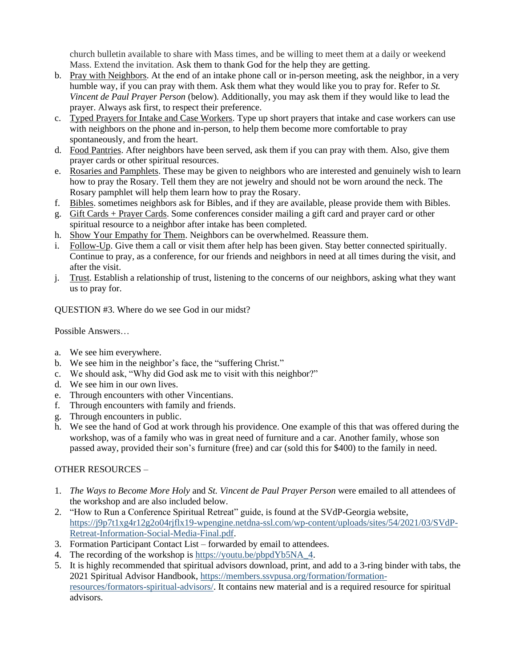church bulletin available to share with Mass times, and be willing to meet them at a daily or weekend Mass. Extend the invitation. Ask them to thank God for the help they are getting.

- b. Pray with Neighbors. At the end of an intake phone call or in-person meeting, ask the neighbor, in a very humble way, if you can pray with them. Ask them what they would like you to pray for. Refer to *St. Vincent de Paul Prayer Person* (below)*.* Additionally, you may ask them if they would like to lead the prayer. Always ask first, to respect their preference.
- c. Typed Prayers for Intake and Case Workers. Type up short prayers that intake and case workers can use with neighbors on the phone and in-person, to help them become more comfortable to pray spontaneously, and from the heart.
- d. Food Pantries. After neighbors have been served, ask them if you can pray with them. Also, give them prayer cards or other spiritual resources.
- e. Rosaries and Pamphlets. These may be given to neighbors who are interested and genuinely wish to learn how to pray the Rosary. Tell them they are not jewelry and should not be worn around the neck. The Rosary pamphlet will help them learn how to pray the Rosary.
- f. Bibles. sometimes neighbors ask for Bibles, and if they are available, please provide them with Bibles.
- g. Gift Cards + Prayer Cards. Some conferences consider mailing a gift card and prayer card or other spiritual resource to a neighbor after intake has been completed.
- h. Show Your Empathy for Them. Neighbors can be overwhelmed. Reassure them.
- i. Follow-Up. Give them a call or visit them after help has been given. Stay better connected spiritually. Continue to pray, as a conference, for our friends and neighbors in need at all times during the visit, and after the visit.
- j. Trust. Establish a relationship of trust, listening to the concerns of our neighbors, asking what they want us to pray for.

QUESTION #3. Where do we see God in our midst?

Possible Answers…

- a. We see him everywhere.
- b. We see him in the neighbor's face, the "suffering Christ."
- c. We should ask, "Why did God ask me to visit with this neighbor?"
- d. We see him in our own lives.
- e. Through encounters with other Vincentians.
- f. Through encounters with family and friends.
- g. Through encounters in public.
- h. We see the hand of God at work through his providence. One example of this that was offered during the workshop, was of a family who was in great need of furniture and a car. Another family, whose son passed away, provided their son's furniture (free) and car (sold this for \$400) to the family in need.

### OTHER RESOURCES –

- 1. *The Ways to Become More Holy* and *St. Vincent de Paul Prayer Person* were emailed to all attendees of the workshop and are also included below.
- 2. "How to Run a Conference Spiritual Retreat" guide, is found at the SVdP-Georgia website, [https://j9p7t1xg4r12g2o04rjflx19-wpengine.netdna-ssl.com/wp-content/uploads/sites/54/2021/03/SVdP-](https://j9p7t1xg4r12g2o04rjflx19-wpengine.netdna-ssl.com/wp-content/uploads/sites/54/2021/03/SVdP-Retreat-Information-Social-Media-Final.pdf)[Retreat-Information-Social-Media-Final.pdf.](https://j9p7t1xg4r12g2o04rjflx19-wpengine.netdna-ssl.com/wp-content/uploads/sites/54/2021/03/SVdP-Retreat-Information-Social-Media-Final.pdf)
- 3. Formation Participant Contact List forwarded by email to attendees.
- 4. The recording of the workshop is [https://youtu.be/pbpdYb5NA\\_4.](https://youtu.be/pbpdYb5NA_4)
- 5. It is highly recommended that spiritual advisors download, print, and add to a 3-ring binder with tabs, the 2021 Spiritual Advisor Handbook[, https://members.ssvpusa.org/formation/formation](https://members.ssvpusa.org/formation/formation-resources/formators-spiritual-advisors/)[resources/formators-spiritual-advisors/.](https://members.ssvpusa.org/formation/formation-resources/formators-spiritual-advisors/) It contains new material and is a required resource for spiritual advisors.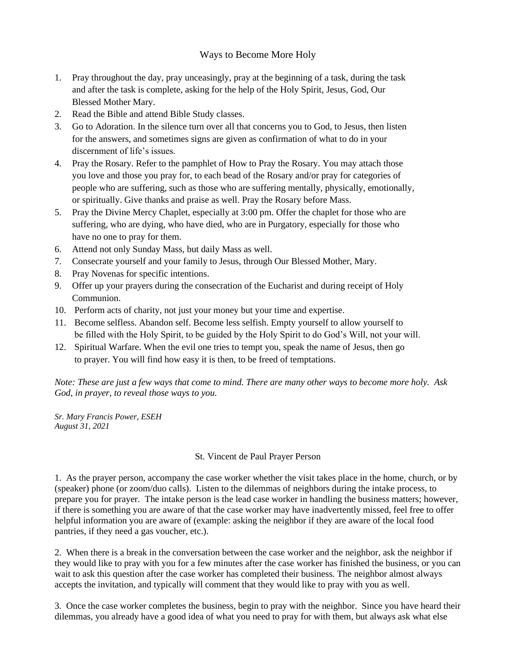## Ways to Become More Holy

- 1. Pray throughout the day, pray unceasingly, pray at the beginning of a task, during the task and after the task is complete, asking for the help of the Holy Spirit, Jesus, God, Our Blessed Mother Mary.
- 2. Read the Bible and attend Bible Study classes.
- 3. Go to Adoration. In the silence turn over all that concerns you to God, to Jesus, then listen for the answers, and sometimes signs are given as confirmation of what to do in your discernment of life's issues.
- 4. Pray the Rosary. Refer to the pamphlet of How to Pray the Rosary. You may attach those you love and those you pray for, to each bead of the Rosary and/or pray for categories of people who are suffering, such as those who are suffering mentally, physically, emotionally, or spiritually. Give thanks and praise as well. Pray the Rosary before Mass.
- 5. Pray the Divine Mercy Chaplet, especially at 3:00 pm. Offer the chaplet for those who are suffering, who are dying, who have died, who are in Purgatory, especially for those who have no one to pray for them.
- 6. Attend not only Sunday Mass, but daily Mass as well.
- 7. Consecrate yourself and your family to Jesus, through Our Blessed Mother, Mary.
- 8. Pray Novenas for specific intentions.
- 9. Offer up your prayers during the consecration of the Eucharist and during receipt of Holy Communion.
- 10. Perform acts of charity, not just your money but your time and expertise.
- 11. Become selfless. Abandon self. Become less selfish. Empty yourself to allow yourself to be filled with the Holy Spirit, to be guided by the Holy Spirit to do God's Will, not your will.
- 12. Spiritual Warfare. When the evil one tries to tempt you, speak the name of Jesus, then go to prayer. You will find how easy it is then, to be freed of temptations.

*Note: These are just a few ways that come to mind. There are many other ways to become more holy. Ask God, in prayer, to reveal those ways to you.*

*Sr. Mary Francis Power, ESEH August 31, 2021*

#### St. Vincent de Paul Prayer Person

1. As the prayer person, accompany the case worker whether the visit takes place in the home, church, or by (speaker) phone (or zoom/duo calls). Listen to the dilemmas of neighbors during the intake process, to prepare you for prayer. The intake person is the lead case worker in handling the business matters; however, if there is something you are aware of that the case worker may have inadvertently missed, feel free to offer helpful information you are aware of (example: asking the neighbor if they are aware of the local food pantries, if they need a gas voucher, etc.).

2. When there is a break in the conversation between the case worker and the neighbor, ask the neighbor if they would like to pray with you for a few minutes after the case worker has finished the business, or you can wait to ask this question after the case worker has completed their business. The neighbor almost always accepts the invitation, and typically will comment that they would like to pray with you as well.

3. Once the case worker completes the business, begin to pray with the neighbor. Since you have heard their dilemmas, you already have a good idea of what you need to pray for with them, but always ask what else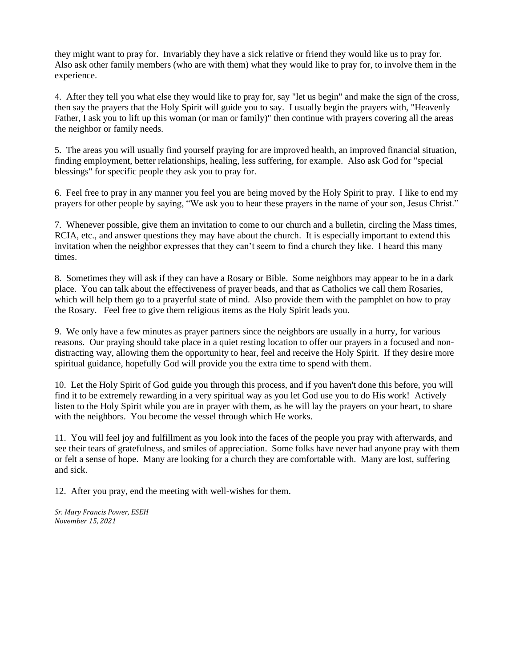they might want to pray for. Invariably they have a sick relative or friend they would like us to pray for. Also ask other family members (who are with them) what they would like to pray for, to involve them in the experience.

4. After they tell you what else they would like to pray for, say "let us begin" and make the sign of the cross, then say the prayers that the Holy Spirit will guide you to say. I usually begin the prayers with, "Heavenly Father, I ask you to lift up this woman (or man or family)" then continue with prayers covering all the areas the neighbor or family needs.

5. The areas you will usually find yourself praying for are improved health, an improved financial situation, finding employment, better relationships, healing, less suffering, for example. Also ask God for "special blessings" for specific people they ask you to pray for.

6. Feel free to pray in any manner you feel you are being moved by the Holy Spirit to pray. I like to end my prayers for other people by saying, "We ask you to hear these prayers in the name of your son, Jesus Christ."

7. Whenever possible, give them an invitation to come to our church and a bulletin, circling the Mass times, RCIA, etc., and answer questions they may have about the church. It is especially important to extend this invitation when the neighbor expresses that they can't seem to find a church they like. I heard this many times.

8. Sometimes they will ask if they can have a Rosary or Bible. Some neighbors may appear to be in a dark place. You can talk about the effectiveness of prayer beads, and that as Catholics we call them Rosaries, which will help them go to a prayerful state of mind. Also provide them with the pamphlet on how to pray the Rosary. Feel free to give them religious items as the Holy Spirit leads you.

9. We only have a few minutes as prayer partners since the neighbors are usually in a hurry, for various reasons. Our praying should take place in a quiet resting location to offer our prayers in a focused and nondistracting way, allowing them the opportunity to hear, feel and receive the Holy Spirit. If they desire more spiritual guidance, hopefully God will provide you the extra time to spend with them.

10. Let the Holy Spirit of God guide you through this process, and if you haven't done this before, you will find it to be extremely rewarding in a very spiritual way as you let God use you to do His work! Actively listen to the Holy Spirit while you are in prayer with them, as he will lay the prayers on your heart, to share with the neighbors. You become the vessel through which He works.

11. You will feel joy and fulfillment as you look into the faces of the people you pray with afterwards, and see their tears of gratefulness, and smiles of appreciation. Some folks have never had anyone pray with them or felt a sense of hope. Many are looking for a church they are comfortable with. Many are lost, suffering and sick.

12. After you pray, end the meeting with well-wishes for them.

*Sr. Mary Francis Power, ESEH November 15, 2021*